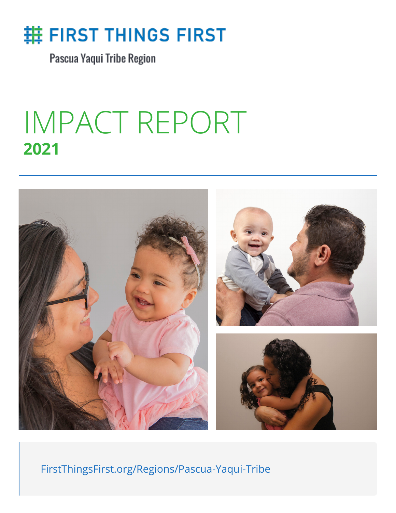

Pascua Yaqui Tribe Region

## IMPACT REPORT **2021**



FirstThingsFirst.org/Regions/Pascua-Yaqui-Tribe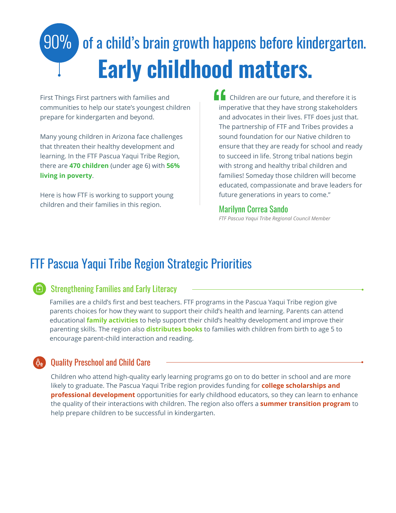# 90% of a child's brain growth happens before kindergarten. **Early childhood matters.**

First Things First partners with families and communities to help our state's youngest children prepare for kindergarten and beyond.

Many young children in Arizona face challenges that threaten their healthy development and learning. In the FTF Pascua Yaqui Tribe Region, there are **470 children** (under age 6) with **56% living in poverty**.

Here is how FTF is working to support young children and their families in this region.

 Children are our future, and therefore it is imperative that they have strong stakeholders and advocates in their lives. FTF does just that. The partnership of FTF and Tribes provides a sound foundation for our Native children to ensure that they are ready for school and ready to succeed in life. Strong tribal nations begin with strong and healthy tribal children and families! Someday those children will become educated, compassionate and brave leaders for future generations in years to come."

#### Marilynn Correa Sando

*FTF Pascua Yaqui Tribe Regional Council Member*

### FTF Pascua Yaqui Tribe Region Strategic Priorities



### Strengthening Families and Early Literacy

Families are a child's first and best teachers. FTF programs in the Pascua Yaqui Tribe region give parents choices for how they want to support their child's health and learning. Parents can attend educational **family activities** to help support their child's healthy development and improve their parenting skills. The region also **distributes books** to families with children from birth to age 5 to encourage parent-child interaction and reading.

### Quality Preschool and Child Care

Children who attend high-quality early learning programs go on to do better in school and are more likely to graduate. The Pascua Yaqui Tribe region provides funding for **college scholarships and professional development** opportunities for early childhood educators, so they can learn to enhance the quality of their interactions with children. The region also offers a **summer transition program** to help prepare children to be successful in kindergarten.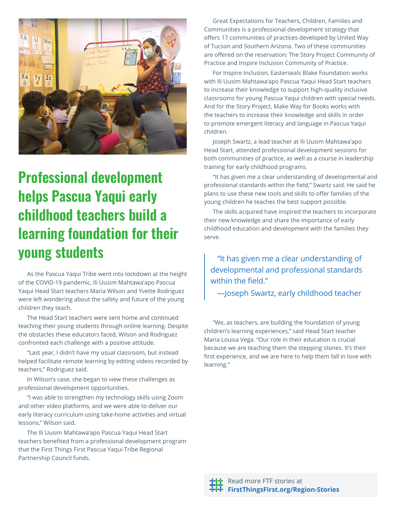

## **Professional development helps Pascua Yaqui early childhood teachers build a learning foundation for their young students**

As the Pascua Yaqui Tribe went into lockdown at the height of the COVID-19 pandemic, Ili Uusim Mahtawa'apo Pascua Yaqui Head Start teachers Maria Wilson and Yvette Rodriguez were left wondering about the safety and future of the young children they teach.

The Head Start teachers were sent home and continued teaching their young students through online learning. Despite the obstacles these educators faced, Wilson and Rodriguez confronted each challenge with a positive attitude.

"Last year, I didn't have my usual classroom, but instead helped facilitate remote learning by editing videos recorded by teachers," Rodriguez said.

In Wilson's case, she began to view these challenges as professional development opportunities.

"I was able to strengthen my technology skills using Zoom and other video platforms, and we were able to deliver our early literacy curriculum using take-home activities and virtual lessons," Wilson said.

The Ili Uusim Mahtawa'apo Pascua Yaqui Head Start teachers benefited from a professional development program that the First Things First Pascua Yaqui Tribe Regional Partnership Council funds.

Great Expectations for Teachers, Children, Families and Communities is a professional development strategy that offers 17 communities of practices developed by United Way of Tucson and Southern Arizona. Two of these communities are offered on the reservation: The Story Project Community of Practice and Inspire Inclusion Community of Practice.

For Inspire Inclusion, Easterseals Blake Foundation works with Ili Uusim Mahtawa'apo Pascua Yaqui Head Start teachers to increase their knowledge to support high-quality inclusive classrooms for young Pascua Yaqui children with special needs. And for the Story Project, Make Way for Books works with the teachers to increase their knowledge and skills in order to promote emergent literacy and language in Pascua Yaqui children.

Joseph Swartz, a lead teacher at Ili Uusim Mahtawa'apo Head Start, attended professional development sessions for both communities of practice, as well as a course in leadership training for early childhood programs.

"It has given me a clear understanding of developmental and professional standards within the field," Swartz said. He said he plans to use these new tools and skills to offer families of the young children he teaches the best support possible.

The skills acquired have inspired the teachers to incorporate their new knowledge and share the importance of early childhood education and development with the families they serve.

"It has given me a clear understanding of developmental and professional standards within the field."

—Joseph Swartz, early childhood teacher

"We, as teachers, are building the foundation of young children's learning experiences," said Head Start teacher Maria Louisa Vega. "Our role in their education is crucial because we are teaching them the stepping stones. It's their first experience, and we are here to help them fall in love with learning."